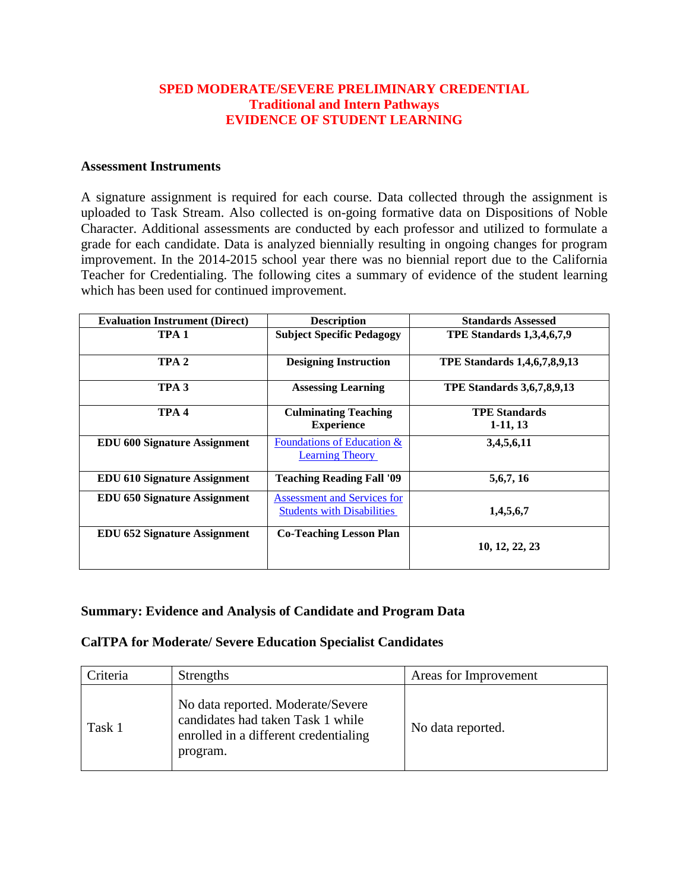### **SPED MODERATE/SEVERE PRELIMINARY CREDENTIAL Traditional and Intern Pathways EVIDENCE OF STUDENT LEARNING**

#### **Assessment Instruments**

A signature assignment is required for each course. Data collected through the assignment is uploaded to Task Stream. Also collected is on-going formative data on Dispositions of Noble Character. Additional assessments are conducted by each professor and utilized to formulate a grade for each candidate. Data is analyzed biennially resulting in ongoing changes for program improvement. In the 2014-2015 school year there was no biennial report due to the California Teacher for Credentialing. The following cites a summary of evidence of the student learning which has been used for continued improvement.

| <b>Evaluation Instrument (Direct)</b> | <b>Description</b>                                                      | <b>Standards Assessed</b>           |
|---------------------------------------|-------------------------------------------------------------------------|-------------------------------------|
| TPA 1                                 | <b>Subject Specific Pedagogy</b>                                        | <b>TPE Standards 1,3,4,6,7,9</b>    |
| TPA <sub>2</sub>                      | <b>Designing Instruction</b>                                            | <b>TPE Standards 1,4,6,7,8,9,13</b> |
| TPA <sub>3</sub>                      | <b>Assessing Learning</b>                                               | <b>TPE Standards 3,6,7,8,9,13</b>   |
| TPA <sub>4</sub>                      | <b>Culminating Teaching</b><br><b>Experience</b>                        | <b>TPE Standards</b><br>$1-11, 13$  |
| <b>EDU 600 Signature Assignment</b>   | <b>Foundations of Education &amp;</b><br><b>Learning Theory</b>         | 3,4,5,6,11                          |
| <b>EDU 610 Signature Assignment</b>   | <b>Teaching Reading Fall '09</b>                                        | 5, 6, 7, 16                         |
| <b>EDU 650 Signature Assignment</b>   | <b>Assessment and Services for</b><br><b>Students with Disabilities</b> | 1,4,5,6,7                           |
| <b>EDU 652 Signature Assignment</b>   | <b>Co-Teaching Lesson Plan</b>                                          | 10, 12, 22, 23                      |

#### **Summary: Evidence and Analysis of Candidate and Program Data**

#### **CalTPA for Moderate/ Severe Education Specialist Candidates**

| Criteria | Strengths                                                                                                                   | Areas for Improvement |
|----------|-----------------------------------------------------------------------------------------------------------------------------|-----------------------|
| Task 1   | No data reported. Moderate/Severe<br>candidates had taken Task 1 while<br>enrolled in a different credentialing<br>program. | No data reported.     |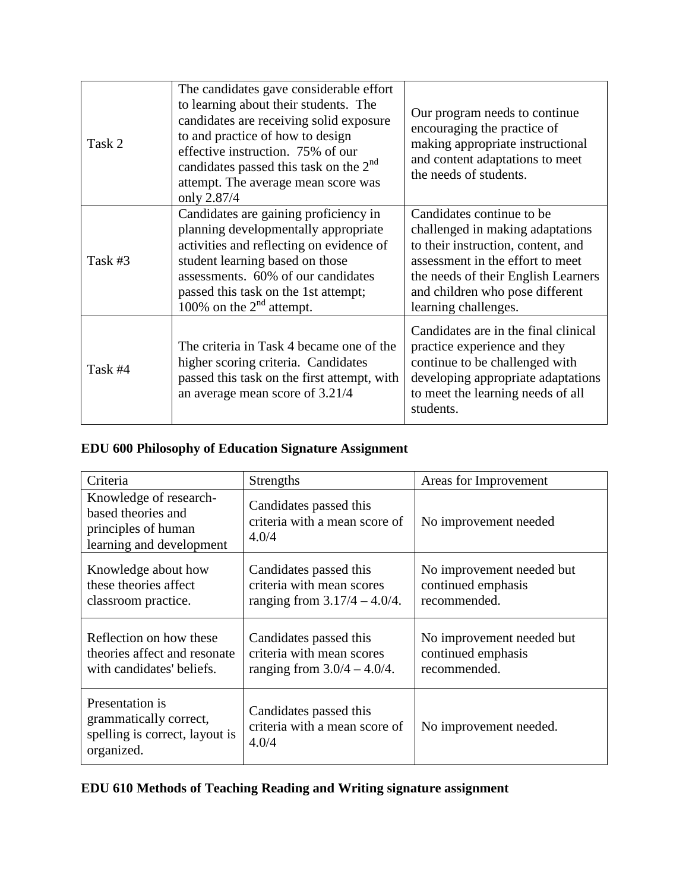| Task 2  | The candidates gave considerable effort<br>to learning about their students. The<br>candidates are receiving solid exposure<br>to and practice of how to design<br>effective instruction. 75% of our<br>candidates passed this task on the $2nd$<br>attempt. The average mean score was<br>only 2.87/4 | Our program needs to continue.<br>encouraging the practice of<br>making appropriate instructional<br>and content adaptations to meet<br>the needs of students.                                                                             |
|---------|--------------------------------------------------------------------------------------------------------------------------------------------------------------------------------------------------------------------------------------------------------------------------------------------------------|--------------------------------------------------------------------------------------------------------------------------------------------------------------------------------------------------------------------------------------------|
| Task #3 | Candidates are gaining proficiency in<br>planning developmentally appropriate<br>activities and reflecting on evidence of<br>student learning based on those<br>assessments. 60% of our candidates<br>passed this task on the 1st attempt;<br>100% on the $2nd$ attempt.                               | Candidates continue to be.<br>challenged in making adaptations<br>to their instruction, content, and<br>assessment in the effort to meet<br>the needs of their English Learners<br>and children who pose different<br>learning challenges. |
| Task #4 | The criteria in Task 4 became one of the<br>higher scoring criteria. Candidates<br>passed this task on the first attempt, with<br>an average mean score of 3.21/4                                                                                                                                      | Candidates are in the final clinical<br>practice experience and they<br>continue to be challenged with<br>developing appropriate adaptations<br>to meet the learning needs of all<br>students.                                             |

# **EDU 600 Philosophy of Education Signature Assignment**

| Criteria                                                                                        | Strengths                                                                              | Areas for Improvement                                           |
|-------------------------------------------------------------------------------------------------|----------------------------------------------------------------------------------------|-----------------------------------------------------------------|
| Knowledge of research-<br>based theories and<br>principles of human<br>learning and development | Candidates passed this<br>criteria with a mean score of<br>4.0/4                       | No improvement needed                                           |
| Knowledge about how<br>these theories affect<br>classroom practice.                             | Candidates passed this<br>criteria with mean scores<br>ranging from $3.17/4 - 4.0/4$ . | No improvement needed but<br>continued emphasis<br>recommended. |
| Reflection on how these<br>theories affect and resonate<br>with candidates' beliefs.            | Candidates passed this<br>criteria with mean scores<br>ranging from $3.0/4 - 4.0/4$ .  | No improvement needed but<br>continued emphasis<br>recommended. |
| Presentation is<br>grammatically correct,<br>spelling is correct, layout is<br>organized.       | Candidates passed this<br>criteria with a mean score of<br>4.0/4                       | No improvement needed.                                          |

# **EDU 610 Methods of Teaching Reading and Writing signature assignment**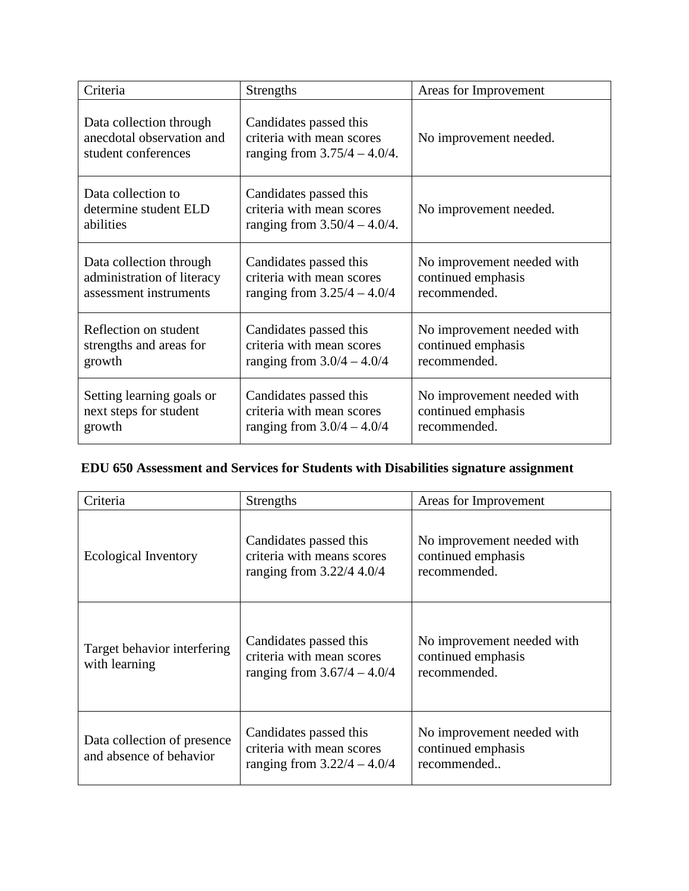| Criteria                                                                    | <b>Strengths</b>                                                                       | Areas for Improvement      |
|-----------------------------------------------------------------------------|----------------------------------------------------------------------------------------|----------------------------|
| Data collection through<br>anecdotal observation and<br>student conferences | Candidates passed this<br>criteria with mean scores<br>ranging from $3.75/4 - 4.0/4$ . | No improvement needed.     |
| Data collection to<br>determine student ELD<br>abilities                    | Candidates passed this<br>criteria with mean scores<br>ranging from $3.50/4 - 4.0/4$ . | No improvement needed.     |
| Data collection through                                                     | Candidates passed this                                                                 | No improvement needed with |
| administration of literacy                                                  | criteria with mean scores                                                              | continued emphasis         |
| assessment instruments                                                      | ranging from $3.25/4 - 4.0/4$                                                          | recommended.               |
| Reflection on student                                                       | Candidates passed this                                                                 | No improvement needed with |
| strengths and areas for                                                     | criteria with mean scores                                                              | continued emphasis         |
| growth                                                                      | ranging from $3.0/4 - 4.0/4$                                                           | recommended.               |
| Setting learning goals or                                                   | Candidates passed this                                                                 | No improvement needed with |
| next steps for student                                                      | criteria with mean scores                                                              | continued emphasis         |
| growth                                                                      | ranging from $3.0/4 - 4.0/4$                                                           | recommended.               |

# **EDU 650 Assessment and Services for Students with Disabilities signature assignment**

| Criteria                                                                                                                             | <b>Strengths</b>                                                                     | Areas for Improvement                                            |  |
|--------------------------------------------------------------------------------------------------------------------------------------|--------------------------------------------------------------------------------------|------------------------------------------------------------------|--|
| Ecological Inventory                                                                                                                 | Candidates passed this<br>criteria with means scores<br>ranging from $3.22/4$ 4.0/4  | No improvement needed with<br>continued emphasis<br>recommended. |  |
| Candidates passed this<br>Target behavior interfering<br>criteria with mean scores<br>with learning<br>ranging from $3.67/4 - 4.0/4$ |                                                                                      | No improvement needed with<br>continued emphasis<br>recommended. |  |
| Data collection of presence<br>and absence of behavior                                                                               | Candidates passed this<br>criteria with mean scores<br>ranging from $3.22/4 - 4.0/4$ | No improvement needed with<br>continued emphasis<br>recommended  |  |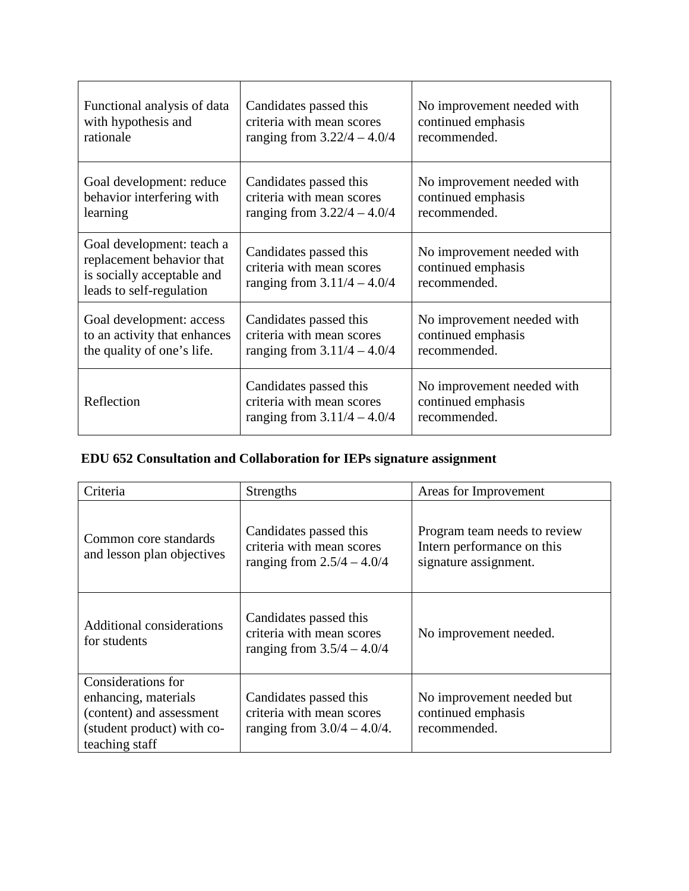| Functional analysis of data                                                                                      | Candidates passed this                                                               | No improvement needed with                                       |
|------------------------------------------------------------------------------------------------------------------|--------------------------------------------------------------------------------------|------------------------------------------------------------------|
| with hypothesis and                                                                                              | criteria with mean scores                                                            | continued emphasis                                               |
| rationale                                                                                                        | ranging from $3.22/4 - 4.0/4$                                                        | recommended.                                                     |
| Goal development: reduce                                                                                         | Candidates passed this                                                               | No improvement needed with                                       |
| behavior interfering with                                                                                        | criteria with mean scores                                                            | continued emphasis                                               |
| learning                                                                                                         | ranging from $3.22/4 - 4.0/4$                                                        | recommended.                                                     |
| Goal development: teach a<br>replacement behavior that<br>is socially acceptable and<br>leads to self-regulation | Candidates passed this<br>criteria with mean scores<br>ranging from $3.11/4 - 4.0/4$ | No improvement needed with<br>continued emphasis<br>recommended. |
| Goal development: access                                                                                         | Candidates passed this                                                               | No improvement needed with                                       |
| to an activity that enhances                                                                                     | criteria with mean scores                                                            | continued emphasis                                               |
| the quality of one's life.                                                                                       | ranging from $3.11/4 - 4.0/4$                                                        | recommended.                                                     |
| Reflection                                                                                                       | Candidates passed this<br>criteria with mean scores<br>ranging from $3.11/4 - 4.0/4$ | No improvement needed with<br>continued emphasis<br>recommended. |

|  | EDU 652 Consultation and Collaboration for IEPs signature assignment |  |  |  |
|--|----------------------------------------------------------------------|--|--|--|
|  |                                                                      |  |  |  |

| Criteria                                                                                                               | <b>Strengths</b>                                                                      | Areas for Improvement                                                               |
|------------------------------------------------------------------------------------------------------------------------|---------------------------------------------------------------------------------------|-------------------------------------------------------------------------------------|
| Common core standards<br>and lesson plan objectives                                                                    | Candidates passed this<br>criteria with mean scores<br>ranging from $2.5/4 - 4.0/4$   | Program team needs to review<br>Intern performance on this<br>signature assignment. |
| Additional considerations<br>for students                                                                              | Candidates passed this<br>criteria with mean scores<br>ranging from $3.5/4 - 4.0/4$   | No improvement needed.                                                              |
| Considerations for<br>enhancing, materials<br>(content) and assessment<br>(student product) with co-<br>teaching staff | Candidates passed this<br>criteria with mean scores<br>ranging from $3.0/4 - 4.0/4$ . | No improvement needed but<br>continued emphasis<br>recommended.                     |